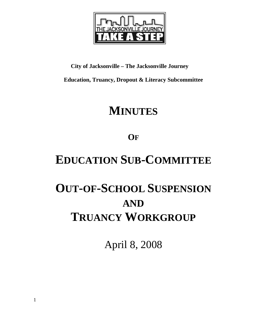

## **City of Jacksonville – The Jacksonville Journey**

**Education, Truancy, Dropout & Literacy Subcommittee** 

## **MINUTES**

**OF**

## **EDUCATION SUB-COMMITTEE**

# **OUT-OF-SCHOOL SUSPENSION AND TRUANCY WORKGROUP**

April 8, 2008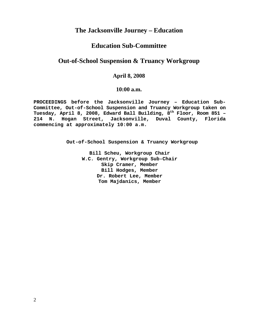## **The Jacksonville Journey – Education**

## **Education Sub-Committee**

## **Out-of-School Suspension & Truancy Workgroup**

### **April 8, 2008**

#### **10:00 a.m.**

**PROCEEDINGS before the Jacksonville Journey – Education Sub-Committee, Out-of-School Suspension and Truancy Workgroup taken on**  Tuesday, April 8, 2008, Edward Ball Building, 8<sup>th</sup> Floor, Room 851 -**214 N. Hogan Street, Jacksonville, Duval County, Florida commencing at approximately 10:00 a.m.** 

 **Out-of-School Suspension & Truancy Workgroup** 

**Bill Scheu, Workgroup Chair W.C. Gentry, Workgroup Sub-Chair Skip Cramer, Member Bill Hodges, Member Dr. Robert Lee, Member Tom Majdanics, Member**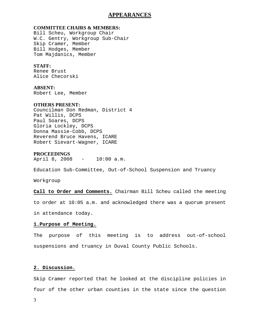#### **APPEARANCES**

#### **COMMITTEE CHAIRS & MEMBERS:**

Bill Scheu, Workgroup Chair W.C. Gentry, Workgroup Sub-Chair Skip Cramer, Member Bill Hodges, Member Tom Majdanics, Member

#### **STAFF:**

Renee Brust Alice Checorski

#### **ABSENT:**

Robert Lee, Member

#### **OTHERS PRESENT:**

Councilman Don Redman, District 4 Pat Willis, DCPS Paul Soares, DCPS Gloria Lockley, DCPS Donna Massie-Cobb, DCPS Reverend Bruce Havens, ICARE Robert Sievart-Wagner, ICARE

#### **PROCEEDINGS**

April 8, 2008 - 10:00 a.m.

Education Sub-Committee, Out-of-School Suspension and Truancy

Workgroup

**Call to Order and Comments.** Chairman Bill Scheu called the meeting to order at 10:05 a.m. and acknowledged there was a quorum present

in attendance today.

#### **1.Purpose of Meeting.**

The purpose of this meeting is to address out-of-school suspensions and truancy in Duval County Public Schools.

#### **2. Discussion.**

Skip Cramer reported that he looked at the discipline policies in four of the other urban counties in the state since the question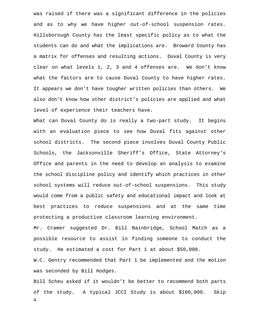was raised if there was a significant difference in the policies and as to why we have higher out-of-school suspension rates. Hillsborough County has the least specific policy as to what the students can do and what the implications are. Broward County has a matrix for offenses and resulting actions. Duval County is very clear on what levels 1, 2, 3 and 4 offenses are. We don't know what the factors are to cause Duval County to have higher rates. It appears we don't have tougher written policies than others. We also don't know how other district's policies are applied and what level of experience their teachers have.

What can Duval County do is really a two-part study. It begins with an evaluation piece to see how Duval fits against other school districts. The second piece involves Duval County Public Schools, the Jacksonville Sheriff's Office, State Attorney's Office and parents in the need to develop an analysis to examine the school discipline policy and identify which practices in other school systems will reduce out-of-school suspensions. This study would come from a public safety and educational impact and look at best practices to reduce suspensions and at the same time protecting a productive classroom learning environment.

Mr. Cramer suggested Dr. Bill Bainbridge, School Match as a possible resource to assist in finding someone to conduct the study. He estimated a cost for Part 1 at about \$50,000.

W.C. Gentry recommended that Part 1 be implemented and the motion was seconded by Bill Hodges.

4 Bill Scheu asked if it wouldn't be better to recommend both parts of the study. A typical JCCI Study is about \$100,000. Skip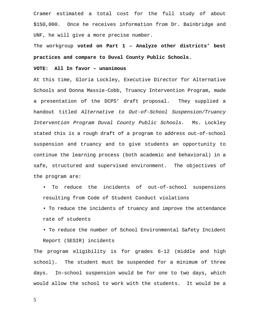Cramer estimated a total cost for the full study of about \$150,000. Once he receives information from Dr. Bainbridge and UNF, he will give a more precise number.

The workgroup **voted on Part 1 – Analyze other districts' best practices and compare to Duval County Public Schools.** 

#### **VOTE: All In favor – unanimous**

At this time, Gloria Lockley, Executive Director for Alternative Schools and Donna Massie-Cobb, Truancy Intervention Program, made a presentation of the DCPS' draft proposal. They supplied a handout titled *Alternative to Out-of-School Suspension/Truancy Intervention Program Duval County Public Schools.* Ms. Lockley stated this is a rough draft of a program to address out-of-school suspension and truancy and to give students an opportunity to continue the learning process (both academic and behavioral) in a safe, structured and supervised environment. The objectives of the program are:

- To reduce the incidents of out-of-school suspensions resulting from Code of Student Conduct violations
- To reduce the incidents of truancy and improve the attendance rate of students
- To reduce the number of School Environmental Safety Incident Report (SESIR) incidents

The program eligibility is for grades 6-12 (middle and high school). The student must be suspended for a minimum of three days. In-school suspension would be for one to two days, which would allow the school to work with the students. It would be a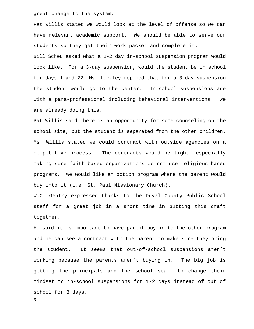great change to the system.

Pat Willis stated we would look at the level of offense so we can have relevant academic support. We should be able to serve our students so they get their work packet and complete it.

Bill Scheu asked what a 1-2 day in-school suspension program would look like. For a 3-day suspension, would the student be in school for days 1 and 2? Ms. Lockley replied that for a 3-day suspension the student would go to the center. In-school suspensions are with a para-professional including behavioral interventions. We are already doing this.

Pat Willis said there is an opportunity for some counseling on the school site, but the student is separated from the other children. Ms. Willis stated we could contract with outside agencies on a competitive process. The contracts would be tight, especially making sure faith-based organizations do not use religious-based programs. We would like an option program where the parent would buy into it (i.e. St. Paul Missionary Church).

W.C. Gentry expressed thanks to the Duval County Public School staff for a great job in a short time in putting this draft together.

He said it is important to have parent buy-in to the other program and he can see a contract with the parent to make sure they bring the student. It seems that out-of-school suspensions aren't working because the parents aren't buying in. The big job is getting the principals and the school staff to change their mindset to in-school suspensions for 1-2 days instead of out of school for 3 days.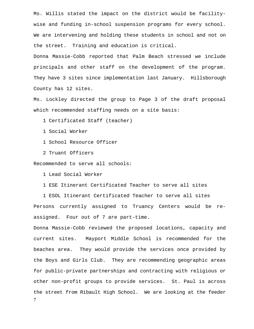Ms. Willis stated the impact on the district would be facilitywise and funding in-school suspension programs for every school. We are intervening and holding these students in school and not on the street. Training and education is critical.

Donna Massie-Cobb reported that Palm Beach stressed we include principals and other staff on the development of the program. They have 3 sites since implementation last January. Hillsborough County has 12 sites.

Ms. Lockley directed the group to Page 3 of the draft proposal which recommended staffing needs on a site basis:

1 Certificated Staff (teacher)

1 Social Worker

1 School Resource Officer

2 Truant Officers

Recommended to serve all schools:

1 Lead Social Worker

1 ESE Itinerant Certificated Teacher to serve all sites

 1 ESOL Itinerant Certificated Teacher to serve all sites Persons currently assigned to Truancy Centers would be reassigned. Four out of 7 are part-time.

7 Donna Massie-Cobb reviewed the proposed locations, capacity and current sites. Mayport Middle School is recommended for the beaches area. They would provide the services once provided by the Boys and Girls Club. They are recommending geographic areas for public-private partnerships and contracting with religious or other non-profit groups to provide services. St. Paul is across the street from Ribault High School. We are looking at the feeder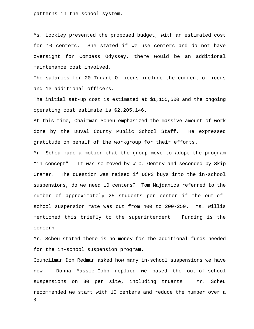patterns in the school system.

Ms. Lockley presented the proposed budget, with an estimated cost for 10 centers. She stated if we use centers and do not have oversight for Compass Odyssey, there would be an additional maintenance cost involved.

The salaries for 20 Truant Officers include the current officers and 13 additional officers.

The initial set-up cost is estimated at \$1,155,500 and the ongoing operating cost estimate is \$2,205,146.

At this time, Chairman Scheu emphasized the massive amount of work done by the Duval County Public School Staff. He expressed gratitude on behalf of the workgroup for their efforts.

Mr. Scheu made a motion that the group move to adopt the program "in concept". It was so moved by W.C. Gentry and seconded by Skip Cramer. The question was raised if DCPS buys into the in-school suspensions, do we need 10 centers? Tom Majdanics referred to the number of approximately 25 students per center if the out-ofschool suspension rate was cut from 400 to 200-250. Ms. Willis mentioned this briefly to the superintendent. Funding is the concern.

Mr. Scheu stated there is no money for the additional funds needed for the in-school suspension program.

8 Councilman Don Redman asked how many in-school suspensions we have now. Donna Massie-Cobb replied we based the out-of-school suspensions on 30 per site, including truants. Mr. Scheu recommended we start with 10 centers and reduce the number over a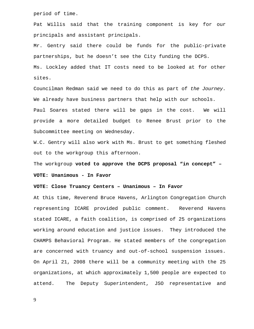period of time.

Pat Willis said that the training component is key for our principals and assistant principals.

Mr. Gentry said there could be funds for the public-private partnerships, but he doesn't see the City funding the DCPS.

Ms. Lockley added that IT costs need to be looked at for other sites.

Councilman Redman said we need to do this as part of *the Journey.*  We already have business partners that help with our schools. Paul Soares stated there will be gaps in the cost. We will provide a more detailed budget to Renee Brust prior to the Subcommittee meeting on Wednesday.

W.C. Gentry will also work with Ms. Brust to get something fleshed out to the workgroup this afternoon.

The workgroup **voted to approve the DCPS proposal "in concept" –** 

#### **VOTE: Unanimous - In Favor**

#### **VOTE: Close Truancy Centers – Unanimous – In Favor**

At this time, Reverend Bruce Havens, Arlington Congregation Church representing ICARE provided public comment. Reverend Havens stated ICARE, a faith coalition, is comprised of 25 organizations working around education and justice issues. They introduced the CHAMPS Behavioral Program. He stated members of the congregation are concerned with truancy and out-of-school suspension issues. On April 21, 2008 there will be a community meeting with the 25 organizations, at which approximately 1,500 people are expected to attend. The Deputy Superintendent, JSO representative and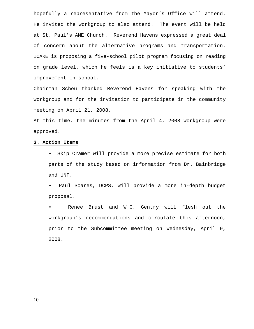hopefully a representative from the Mayor's Office will attend. He invited the workgroup to also attend. The event will be held at St. Paul's AME Church. Reverend Havens expressed a great deal of concern about the alternative programs and transportation. ICARE is proposing a five-school pilot program focusing on reading on grade level, which he feels is a key initiative to students' improvement in school.

Chairman Scheu thanked Reverend Havens for speaking with the workgroup and for the invitation to participate in the community meeting on April 21, 2008.

At this time, the minutes from the April 4, 2008 workgroup were approved.

#### **3. Action Items**

- Skip Cramer will provide a more precise estimate for both parts of the study based on information from Dr. Bainbridge and UNF.
- Paul Soares, DCPS, will provide a more in-depth budget proposal.

Renee Brust and W.C. Gentry will flesh out the workgroup's recommendations and circulate this afternoon, prior to the Subcommittee meeting on Wednesday, April 9, 2008.